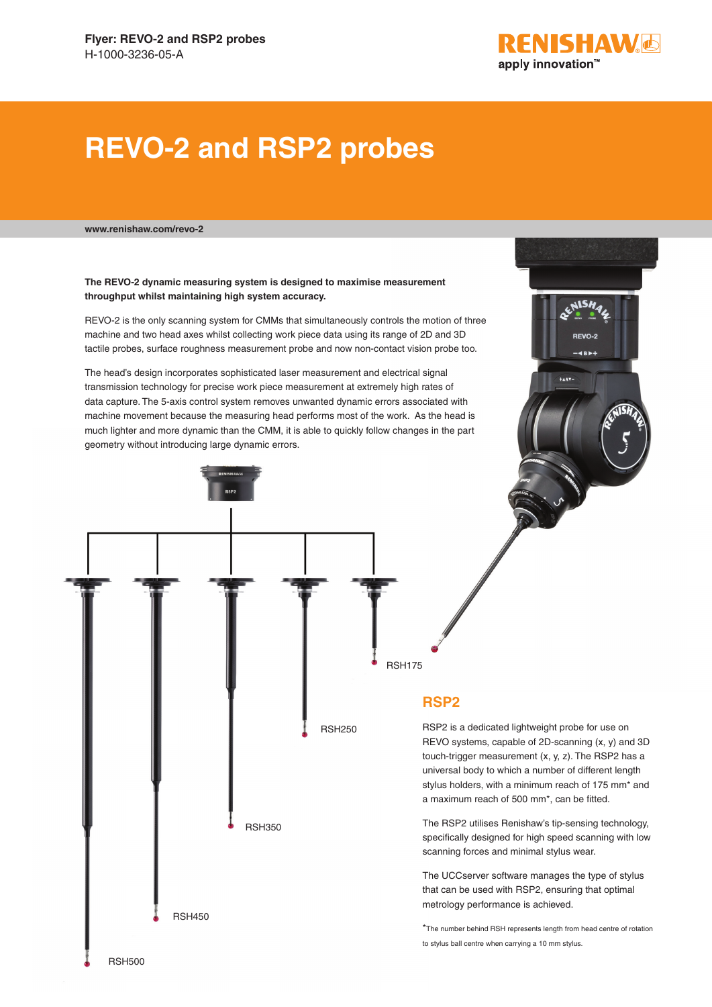

RENISHAL

REVO-2

**AISH** 

# **REVO-2 and RSP2 probes**

**www.renishaw.com/revo-2**

#### **The REVO-2 dynamic measuring system is designed to maximise measurement throughput whilst maintaining high system accuracy.**

REVO-2 is the only scanning system for CMMs that simultaneously controls the motion of three machine and two head axes whilst collecting work piece data using its range of 2D and 3D tactile probes, surface roughness measurement probe and now non-contact vision probe too.

The head's design incorporates sophisticated laser measurement and electrical signal transmission technology for precise work piece measurement at extremely high rates of data capture. The 5-axis control system removes unwanted dynamic errors associated with machine movement because the measuring head performs most of the work. As the head is much lighter and more dynamic than the CMM, it is able to quickly follow changes in the part geometry without introducing large dynamic errors.